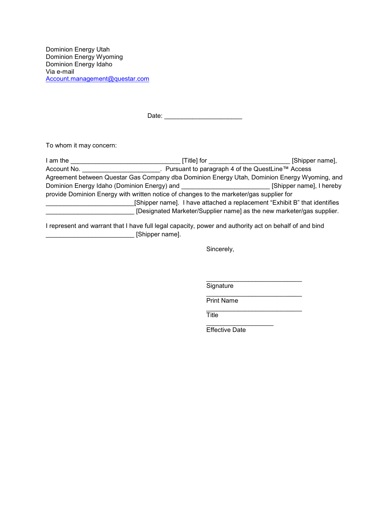Dominion Energy Utah Dominion Energy Wyoming Dominion Energy Idaho Via e-mail [Account.management@questar.com](mailto:Account.management@questar.com) 

Date: \_\_\_\_\_\_\_\_\_\_\_\_\_\_\_\_\_\_\_\_\_\_

To whom it may concern:

| I am the                                                                                     | [Title] for | [Shipper name],                                                       |  |  |
|----------------------------------------------------------------------------------------------|-------------|-----------------------------------------------------------------------|--|--|
| Account No.                                                                                  |             | Pursuant to paragraph 4 of the QuestLine™ Access                      |  |  |
| Agreement between Questar Gas Company dba Dominion Energy Utah, Dominion Energy Wyoming, and |             |                                                                       |  |  |
| Dominion Energy Idaho (Dominion Energy) and                                                  |             | [Shipper name], I hereby                                              |  |  |
| provide Dominion Energy with written notice of changes to the marketer/gas supplier for      |             |                                                                       |  |  |
| [Shipper name]. I have attached a replacement "Exhibit B" that identifies                    |             |                                                                       |  |  |
|                                                                                              |             | [Designated Marketer/Supplier name] as the new marketer/gas supplier. |  |  |

I represent and warrant that I have full legal capacity, power and authority act on behalf of and bind \_\_\_\_\_\_\_\_\_\_\_\_\_\_\_\_\_\_\_\_\_\_\_\_\_ [Shipper name].

Sincerely,

\_\_\_\_\_\_\_\_\_\_\_\_\_\_\_\_\_\_\_\_\_\_\_\_\_\_\_ Signature

\_\_\_\_\_\_\_\_\_\_\_\_\_\_\_\_\_\_\_\_\_\_\_\_\_\_\_ Print Name

\_\_\_\_\_\_\_\_\_\_\_\_\_\_\_\_\_\_\_\_\_\_\_\_\_\_\_ **Title** 

\_\_\_\_\_\_\_\_\_\_\_\_\_\_\_\_\_\_\_ Effective Date